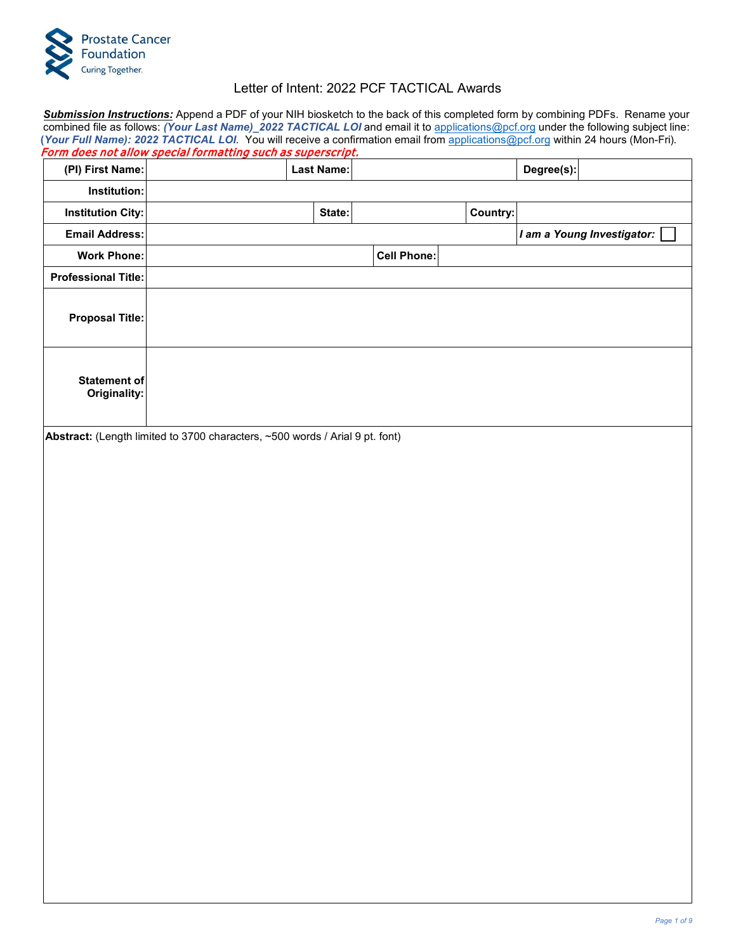

## Letter of Intent: 2022 PCF TACTICAL Awards

*Submission Instructions:* Append a PDF of your NIH biosketch to the back of this completed form by combining PDFs. Rename your combined file as follows: *(Your Last Name)\_2022 TACTICAL LOI* and email it to [applications@pcf.org](mailto:applications@pcf.org) under the following subject line: **(***Your Full Name): 2022 TACTICAL LOI.* You will receive a confirmation email from [applications@pcf.org](mailto:applications@pcf.org) within 24 hours (Mon-Fri).

|                                     | <u>Form does not allow special formatting such as superscript.</u>           |                   |                    |          |            |                            |
|-------------------------------------|------------------------------------------------------------------------------|-------------------|--------------------|----------|------------|----------------------------|
| (PI) First Name:                    |                                                                              | <b>Last Name:</b> |                    |          | Degree(s): |                            |
| Institution:                        |                                                                              |                   |                    |          |            |                            |
| <b>Institution City:</b>            |                                                                              | State:            |                    | Country: |            |                            |
| <b>Email Address:</b>               |                                                                              |                   |                    |          |            | I am a Young Investigator: |
| <b>Work Phone:</b>                  |                                                                              |                   | <b>Cell Phone:</b> |          |            |                            |
| <b>Professional Title:</b>          |                                                                              |                   |                    |          |            |                            |
| <b>Proposal Title:</b>              |                                                                              |                   |                    |          |            |                            |
| <b>Statement of</b><br>Originality: |                                                                              |                   |                    |          |            |                            |
|                                     | Abstract: (Length limited to 3700 characters, ~500 words / Arial 9 pt. font) |                   |                    |          |            |                            |
|                                     |                                                                              |                   |                    |          |            |                            |
|                                     |                                                                              |                   |                    |          |            |                            |
|                                     |                                                                              |                   |                    |          |            |                            |
|                                     |                                                                              |                   |                    |          |            |                            |
|                                     |                                                                              |                   |                    |          |            |                            |
|                                     |                                                                              |                   |                    |          |            |                            |
|                                     |                                                                              |                   |                    |          |            |                            |
|                                     |                                                                              |                   |                    |          |            |                            |
|                                     |                                                                              |                   |                    |          |            |                            |
|                                     |                                                                              |                   |                    |          |            |                            |
|                                     |                                                                              |                   |                    |          |            |                            |
|                                     |                                                                              |                   |                    |          |            |                            |
|                                     |                                                                              |                   |                    |          |            |                            |
|                                     |                                                                              |                   |                    |          |            |                            |
|                                     |                                                                              |                   |                    |          |            |                            |
|                                     |                                                                              |                   |                    |          |            |                            |
|                                     |                                                                              |                   |                    |          |            |                            |
|                                     |                                                                              |                   |                    |          |            |                            |
|                                     |                                                                              |                   |                    |          |            |                            |
|                                     |                                                                              |                   |                    |          |            |                            |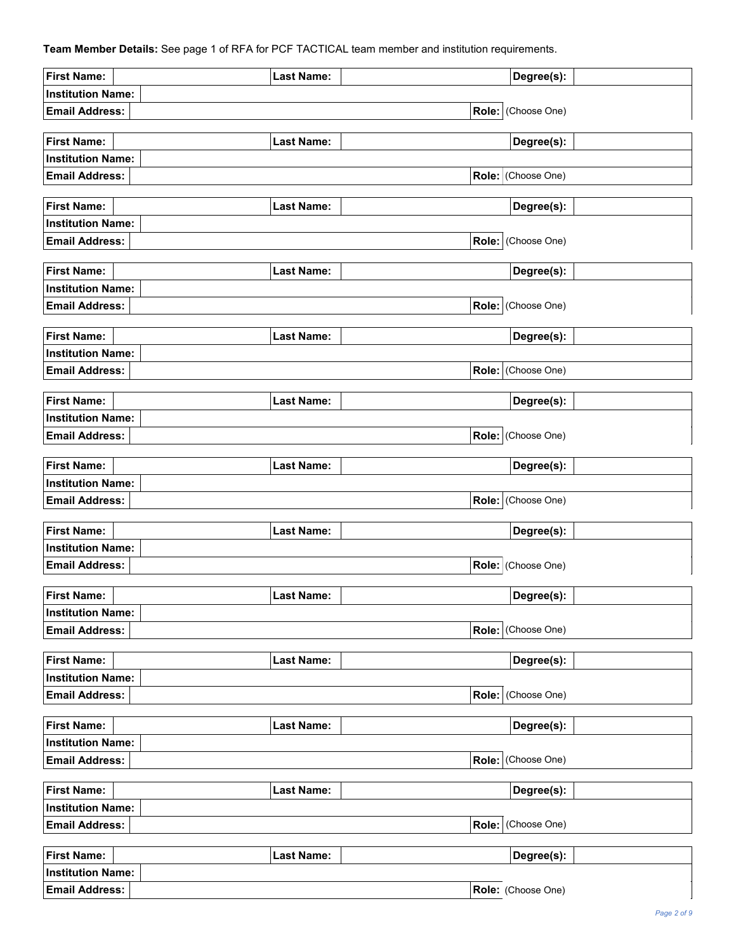**Team Member Details:** See page 1 of RFA for PCF TACTICAL team member and institution requirements.

| <b>First Name:</b>       | <b>Last Name:</b> | Degree(s):         |
|--------------------------|-------------------|--------------------|
| <b>Institution Name:</b> |                   |                    |
| <b>Email Address:</b>    |                   | Role: (Choose One) |
|                          |                   |                    |
| <b>First Name:</b>       | <b>Last Name:</b> | Degree(s):         |
| <b>Institution Name:</b> |                   |                    |
| <b>Email Address:</b>    |                   | Role: (Choose One) |
|                          |                   |                    |
| <b>First Name:</b>       | <b>Last Name:</b> | Degree(s):         |
| <b>Institution Name:</b> |                   |                    |
| <b>Email Address:</b>    |                   | Role: (Choose One) |
| <b>First Name:</b>       | <b>Last Name:</b> | Degree(s):         |
| <b>Institution Name:</b> |                   |                    |
| <b>Email Address:</b>    |                   | Role: (Choose One) |
|                          |                   |                    |
| <b>First Name:</b>       | <b>Last Name:</b> | Degree(s):         |
| <b>Institution Name:</b> |                   |                    |
| <b>Email Address:</b>    |                   | Role: (Choose One) |
|                          |                   |                    |
| <b>First Name:</b>       | <b>Last Name:</b> | Degree(s):         |
| <b>Institution Name:</b> |                   |                    |
| <b>Email Address:</b>    |                   | Role: (Choose One) |
|                          |                   |                    |
| <b>First Name:</b>       | <b>Last Name:</b> | Degree(s):         |
| <b>Institution Name:</b> |                   |                    |
| <b>Email Address:</b>    |                   | Role: (Choose One) |
| <b>First Name:</b>       | <b>Last Name:</b> | Degree(s):         |
| <b>Institution Name:</b> |                   |                    |
| <b>Email Address:</b>    |                   | Role: (Choose One) |
|                          |                   |                    |
| <b>First Name:</b>       | <b>Last Name:</b> | Degree(s):         |
| <b>Institution Name:</b> |                   |                    |
| <b>Email Address:</b>    |                   | Role: (Choose One) |
|                          |                   |                    |
| <b>First Name:</b>       | <b>Last Name:</b> | Degree(s):         |
| <b>Institution Name:</b> |                   |                    |
| <b>Email Address:</b>    |                   | Role: (Choose One) |
|                          |                   |                    |
| <b>First Name:</b>       | <b>Last Name:</b> | Degree(s):         |
| <b>Institution Name:</b> |                   |                    |
| <b>Email Address:</b>    |                   | Role: (Choose One) |
| <b>First Name:</b>       | <b>Last Name:</b> | Degree(s):         |
| <b>Institution Name:</b> |                   |                    |
| <b>Email Address:</b>    |                   | Role: (Choose One) |
|                          |                   |                    |
| <b>First Name:</b>       | <b>Last Name:</b> | Degree(s):         |
| <b>Institution Name:</b> |                   |                    |
| <b>Email Address:</b>    |                   | Role: (Choose One) |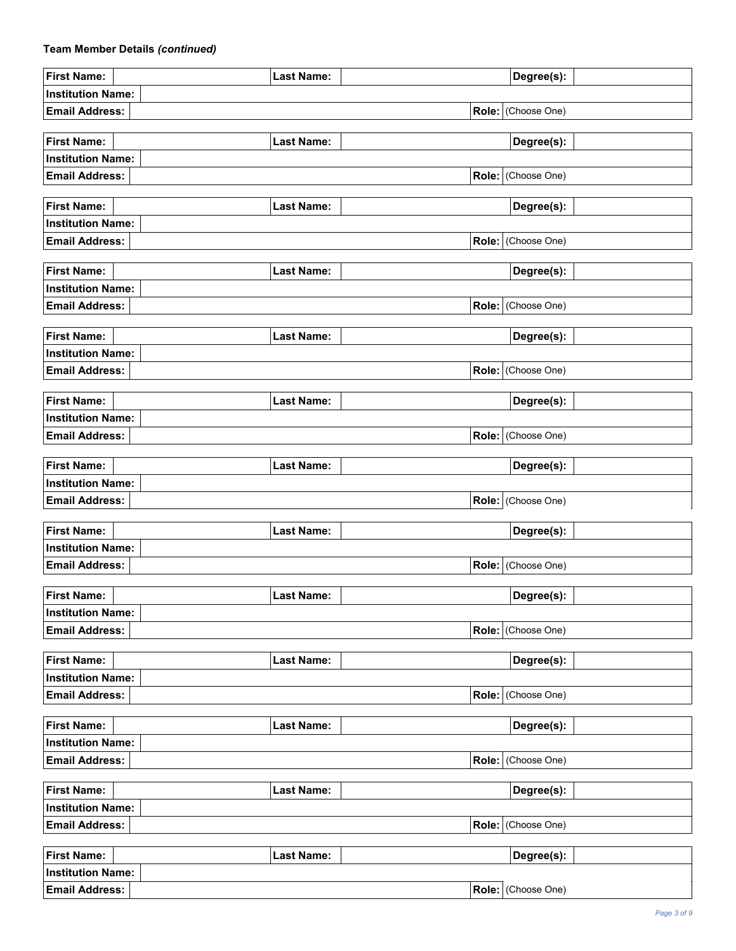## **Team Member Details** *(continued)*

| <b>First Name:</b>       | <b>Last Name:</b> | Degree(s):         |  |
|--------------------------|-------------------|--------------------|--|
| <b>Institution Name:</b> |                   |                    |  |
| <b>Email Address:</b>    |                   | Role: (Choose One) |  |
|                          |                   |                    |  |
| <b>First Name:</b>       | <b>Last Name:</b> | Degree(s):         |  |
| <b>Institution Name:</b> |                   |                    |  |
| <b>Email Address:</b>    |                   | Role: (Choose One) |  |
|                          |                   |                    |  |
| <b>First Name:</b>       | <b>Last Name:</b> | Degree(s):         |  |
| <b>Institution Name:</b> |                   |                    |  |
| <b>Email Address:</b>    |                   | Role: (Choose One) |  |
|                          |                   |                    |  |
| <b>First Name:</b>       | <b>Last Name:</b> | Degree(s):         |  |
| <b>Institution Name:</b> |                   |                    |  |
| <b>Email Address:</b>    |                   | Role: (Choose One) |  |
| <b>First Name:</b>       | <b>Last Name:</b> | Degree(s):         |  |
| <b>Institution Name:</b> |                   |                    |  |
| <b>Email Address:</b>    |                   | Role: (Choose One) |  |
|                          |                   |                    |  |
| <b>First Name:</b>       | <b>Last Name:</b> | Degree(s):         |  |
| <b>Institution Name:</b> |                   |                    |  |
| <b>Email Address:</b>    |                   | Role: (Choose One) |  |
|                          |                   |                    |  |
| <b>First Name:</b>       | <b>Last Name:</b> | Degree(s):         |  |
| <b>Institution Name:</b> |                   |                    |  |
| <b>Email Address:</b>    |                   | Role: (Choose One) |  |
|                          |                   |                    |  |
| <b>First Name:</b>       | <b>Last Name:</b> | Degree(s):         |  |
| <b>Institution Name:</b> |                   |                    |  |
| <b>Email Address:</b>    |                   | Role: (Choose One) |  |
|                          |                   |                    |  |
| <b>First Name:</b>       | <b>Last Name:</b> | Degree(s):         |  |
| <b>Institution Name:</b> |                   |                    |  |
| <b>Email Address:</b>    |                   | Role: (Choose One) |  |
|                          |                   |                    |  |
| <b>First Name:</b>       | <b>Last Name:</b> | Degree(s):         |  |
| <b>Institution Name:</b> |                   |                    |  |
| <b>Email Address:</b>    |                   | Role: (Choose One) |  |
| <b>First Name:</b>       | <b>Last Name:</b> | Degree(s):         |  |
| <b>Institution Name:</b> |                   |                    |  |
| <b>Email Address:</b>    |                   | Role: (Choose One) |  |
|                          |                   |                    |  |
| <b>First Name:</b>       | <b>Last Name:</b> | Degree(s):         |  |
| <b>Institution Name:</b> |                   |                    |  |
| <b>Email Address:</b>    |                   | Role: (Choose One) |  |
|                          |                   |                    |  |
| <b>First Name:</b>       | <b>Last Name:</b> | Degree(s):         |  |
| <b>Institution Name:</b> |                   |                    |  |
| <b>Email Address:</b>    |                   | Role: (Choose One) |  |
|                          |                   |                    |  |